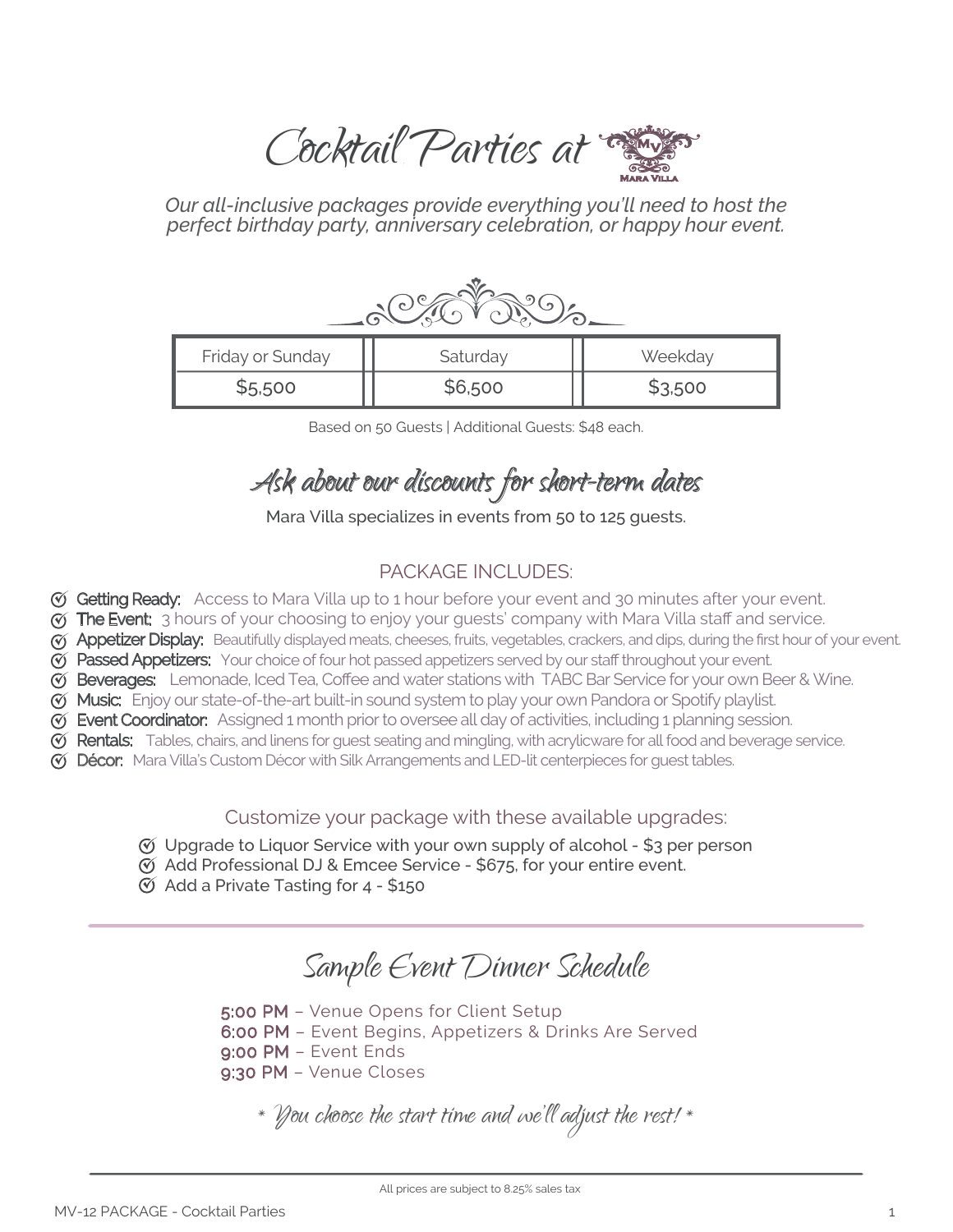Cocktail Parties at  $\mathbb{Z}$ 

*Our all-inclusive packages provide everything you'll need to host the perfect birthday party, anniversary celebration, or happy hour event.*

| Friday or Sunday | Saturday | Weekday |
|------------------|----------|---------|
| \$5,500          | \$6,500  | \$3,500 |

Based on 50 Guests | Additional Guests: \$48 each.

# Ask about our discounts for short-term dates

Mara Villa specializes in events from 50 to 125 guests.

# PACKAGE INCLUDES:

- G Getting Ready: Access to Mara Villa up to 1 hour before your event and 30 minutes after your event.
- $\%$  **The Event:** 3 hours of your choosing to enjoy your quests' company with Mara Villa staff and service.
- **V Appetizer Display:** Beautifully displayed meats, cheeses, fruits, vegetables, crackers, and dips, during the first hour of your event.
- $\sigma$  Passed Appetizers: Your choice of four hot passed appetizers served by our staff throughout your event.
- G Beverages: Lemonade, Iced Tea, Coffee and water stations with TABC Bar Service for your own Beer & Wine.
- **V Music:** Enjoy our state-of-the-art built-in sound system to play your own Pandora or Spotify playlist.
- Event Coordinator: Assigned 1 month prior to oversee all day of activities, including 1 planning session.
- $\mathfrak G$  Rentals: Tables, chairs, and linens for guest seating and mingling, with acrylicware for all food and beverage service.
- $\heartsuit$  **Décor:** Mara Villa's Custom Décor with Silk Arrangements and LED-lit centerpieces for guest tables.

Customize your package with these available upgrades:

- $\mathfrak{G}$  Upgrade to Liquor Service with your own supply of alcohol \$3 per person
- $\mathcal O$  Add Professional DJ & Emcee Service \$675, for your entire event.
- $\circledcirc$  Add a Private Tasting for 4 \$150

# Sample Event Dinner Schedule

5:00 PM – Venue Opens for Client Setup

6:00 PM – Event Begins, Appetizers & Drinks Are Served

- 9:00 PM Event Ends
- 9:30 PM Venue Closes

\* You choose the start time and we'll adjust the rest! \*